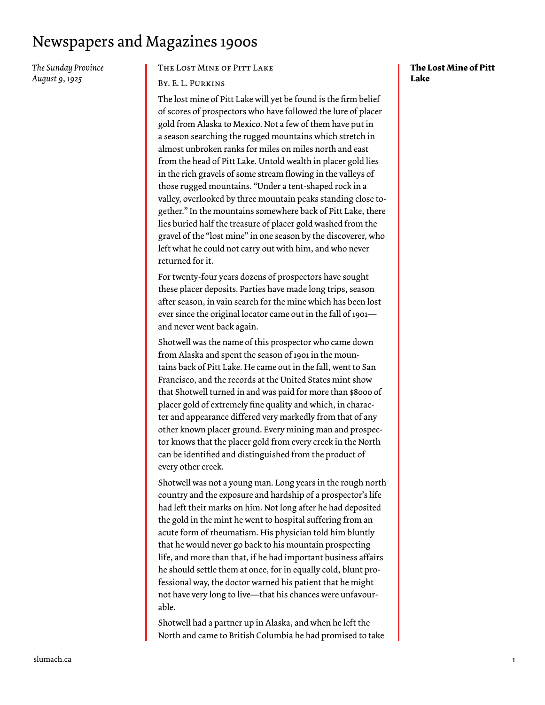*The Sunday Province August 9, 1925*

#### The Lost Mine of Pitt Lake

#### By. E. L. Purkins

The lost mine of Pitt Lake will yet be found is the firm belief of scores of prospectors who have followed the lure of placer gold from Alaska to Mexico. Not a few of them have put in a season searching the rugged mountains which stretch in almost unbroken ranks for miles on miles north and east from the head of Pitt Lake. Untold wealth in placer gold lies in the rich gravels of some stream flowing in the valleys of those rugged mountains. "Under a tent-shaped rock in a valley, overlooked by three mountain peaks standing close together." In the mountains somewhere back of Pitt Lake, there lies buried half the treasure of placer gold washed from the gravel of the "lost mine" in one season by the discoverer, who left what he could not carry out with him, and who never returned for it.

For twenty-four years dozens of prospectors have sought these placer deposits. Parties have made long trips, season after season, in vain search for the mine which has been lost ever since the original locator came out in the fall of 1901 and never went back again.

Shotwell was the name of this prospector who came down from Alaska and spent the season of 1901 in the mountains back of Pitt Lake. He came out in the fall, went to San Francisco, and the records at the United States mint show that Shotwell turned in and was paid for more than \$8000 of placer gold of extremely fine quality and which, in character and appearance differed very markedly from that of any other known placer ground. Every mining man and prospector knows that the placer gold from every creek in the North can be identified and distinguished from the product of every other creek.

Shotwell was not a young man. Long years in the rough north country and the exposure and hardship of a prospector's life had left their marks on him. Not long after he had deposited the gold in the mint he went to hospital suffering from an acute form of rheumatism. His physician told him bluntly that he would never go back to his mountain prospecting life, and more than that, if he had important business affairs he should settle them at once, for in equally cold, blunt professional way, the doctor warned his patient that he might not have very long to live—that his chances were unfavourable.

Shotwell had a partner up in Alaska, and when he left the North and came to British Columbia he had promised to take

#### **The Lost Mine of Pitt Lake**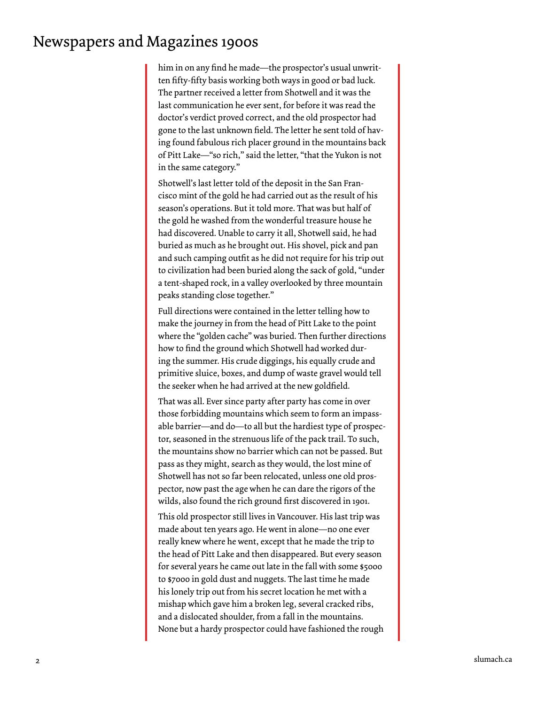him in on any find he made—the prospector's usual unwritten fifty-fifty basis working both ways in good or bad luck. The partner received a letter from Shotwell and it was the last communication he ever sent, for before it was read the doctor's verdict proved correct, and the old prospector had gone to the last unknown field. The letter he sent told of having found fabulous rich placer ground in the mountains back of Pitt Lake—"so rich," said the letter, "that the Yukon is not in the same category."

Shotwell's last letter told of the deposit in the San Francisco mint of the gold he had carried out as the result of his season's operations. But it told more. That was but half of the gold he washed from the wonderful treasure house he had discovered. Unable to carry it all, Shotwell said, he had buried as much as he brought out. His shovel, pick and pan and such camping outfit as he did not require for his trip out to civilization had been buried along the sack of gold, "under a tent-shaped rock, in a valley overlooked by three mountain peaks standing close together."

Full directions were contained in the letter telling how to make the journey in from the head of Pitt Lake to the point where the "golden cache" was buried. Then further directions how to find the ground which Shotwell had worked during the summer. His crude diggings, his equally crude and primitive sluice, boxes, and dump of waste gravel would tell the seeker when he had arrived at the new goldfield.

That was all. Ever since party after party has come in over those forbidding mountains which seem to form an impassable barrier—and do—to all but the hardiest type of prospector, seasoned in the strenuous life of the pack trail. To such, the mountains show no barrier which can not be passed. But pass as they might, search as they would, the lost mine of Shotwell has not so far been relocated, unless one old prospector, now past the age when he can dare the rigors of the wilds, also found the rich ground first discovered in 1901.

This old prospector still lives in Vancouver. His last trip was made about ten years ago. He went in alone—no one ever really knew where he went, except that he made the trip to the head of Pitt Lake and then disappeared. But every season for several years he came out late in the fall with some \$5000 to \$7000 in gold dust and nuggets. The last time he made his lonely trip out from his secret location he met with a mishap which gave him a broken leg, several cracked ribs, and a dislocated shoulder, from a fall in the mountains. None but a hardy prospector could have fashioned the rough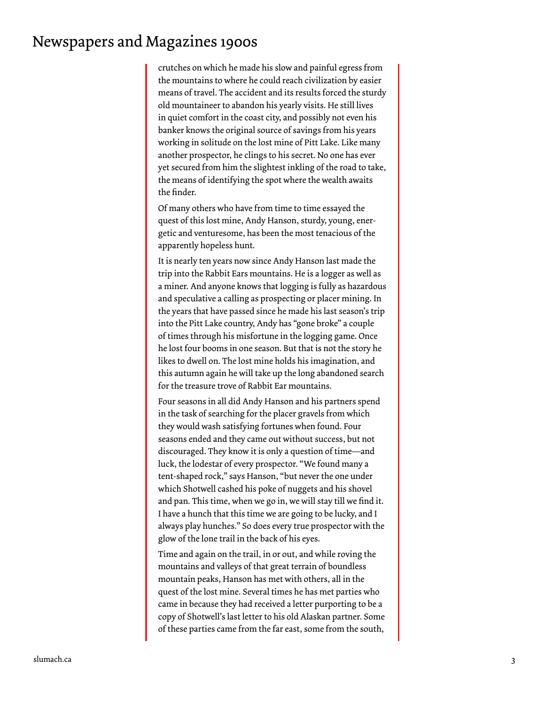crutches on which he made his slow and painful egress from the mountains to where he could reach civilization by easier means of travel. The accident and its results forced the sturdy old mountaineer to abandon his yearly visits. He still lives in quiet comfort in the coast city, and possibly not even his banker knows the original source of savings from his years working in solitude on the lost mine of Pitt Lake. Like many another prospector, he clings to his secret. No one has ever yet secured from him the slightest inkling of the road to take, the means of identifying the spot where the wealth awaits the finder.

Of many others who have from time to time essayed the quest of this lost mine, Andy Hanson, sturdy, young, energetic and venturesome, has been the most tenacious of the apparently hopeless hunt.

It is nearly ten years now since Andy Hanson last made the trip into the Rabbit Ears mountains. He is a logger as well as a miner. And anyone knows that logging is fully as hazardous and speculative a calling as prospecting or placer mining. In the years that have passed since he made his last season's trip into the Pitt Lake country, Andy has "gone broke" a couple of times through his misfortune in the logging game. Once he lost four booms in one season. But that is not the story he likes to dwell on. The lost mine holds his imagination, and this autumn again he will take up the long abandoned search for the treasure trove of Rabbit Ear mountains.

Four seasons in all did Andy Hanson and his partners spend in the task of searching for the placer gravels from which they would wash satisfying fortunes when found. Four seasons ended and they came out without success, but not discouraged. They know it is only a question of time—and luck, the lodestar of every prospector. "We found many a tent-shaped rock," says Hanson, "but never the one under which Shotwell cashed his poke of nuggets and his shovel and pan. This time, when we go in, we will stay till we find it. I have a hunch that this time we are going to be lucky, and I always play hunches." So does every true prospector with the glow of the lone trail in the back of his eyes.

Time and again on the trail, in or out, and while roving the mountains and valleys of that great terrain of boundless mountain peaks, Hanson has met with others, all in the quest of the lost mine. Several times he has met parties who came in because they had received a letter purporting to be a copy of Shotwell's last letter to his old Alaskan partner. Some of these parties came from the far east, some from the south,